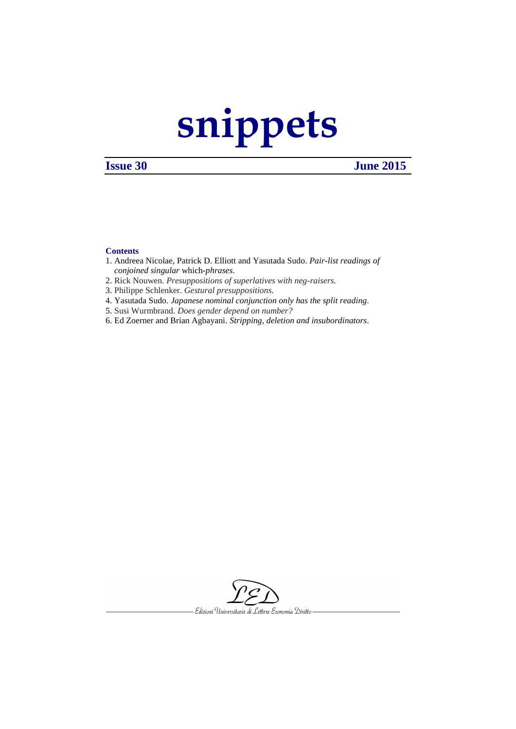# **[snippets](http://www.ledonline.it/snippets/)**

## **Issue 30 June 2015**

### **Contents**

- 1. Andreea Nicolae, Patrick D. Elliott and Yasutada Sudo. *Pair-list readings of conjoined singular* which*-phrases*.
- 2. Rick Nouwen. *Presuppositions of superlatives with neg-raisers.*
- 3. Philippe Schlenker. *Gestural presuppositions.*
- 4. Yasutada Sudo. *Japanese nominal conjunction only has the split reading.*
- 5. Susi Wurmbrand. *Does gender depend on number?*
- 6. Ed Zoerner and Brian Agbayani. *Stripping, deletion and insubordinators.*

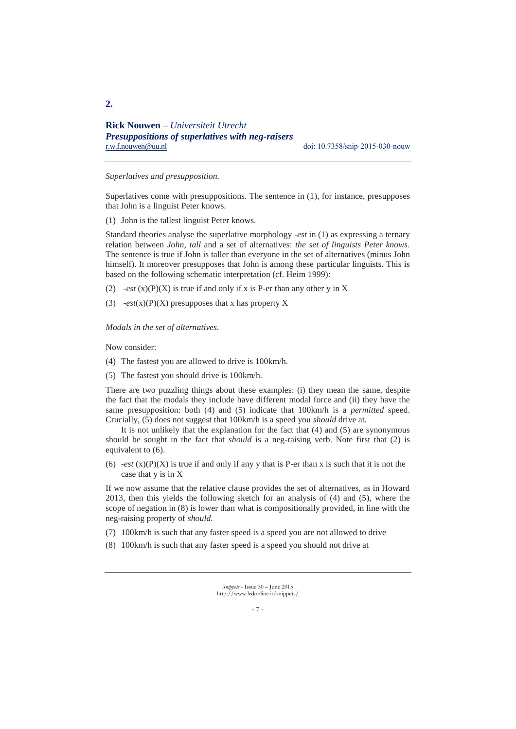### *Superlatives and presupposition.*

Superlatives come with presuppositions. The sentence in (1), for instance, presupposes that John is a linguist Peter knows.

(1) John is the tallest linguist Peter knows.

Standard theories analyse the superlative morphology -*est* in (1) as expressing a ternary relation between *John*, *tall* and a set of alternatives: *the set of linguists Peter knows*. The sentence is true if John is taller than everyone in the set of alternatives (minus John himself). It moreover presupposes that John is among these particular linguists. This is based on the following schematic interpretation (cf. Heim 1999):

- (2) *-est*  $(x)(P)(X)$  is true if and only if x is P-er than any other y in X
- (3) -*est*(x)(P)(X) presupposes that x has property X

*Modals in the set of alternatives.* 

Now consider:

- (4) The fastest you are allowed to drive is 100km/h.
- (5) The fastest you should drive is 100km/h.

There are two puzzling things about these examples: (i) they mean the same, despite the fact that the modals they include have different modal force and (ii) they have the same presupposition: both (4) and (5) indicate that 100km/h is a *permitted* speed. Crucially, (5) does not suggest that 100km/h is a speed you *should* drive at.

It is not unlikely that the explanation for the fact that  $(4)$  and  $(5)$  are synonymous should be sought in the fact that *should* is a neg-raising verb. Note first that (2) is equivalent to (6).

(6)  $-est(x)(P)(X)$  is true if and only if any y that is P-er than x is such that it is not the case that y is in X

If we now assume that the relative clause provides the set of alternatives, as in Howard 2013, then this yields the following sketch for an analysis of (4) and (5), where the scope of negation in (8) is lower than what is compositionally provided, in line with the neg-raising property of *should*.

- (7) 100km/h is such that any faster speed is a speed you are not allowed to drive
- (8) 100km/h is such that any faster speed is a speed you should not drive at